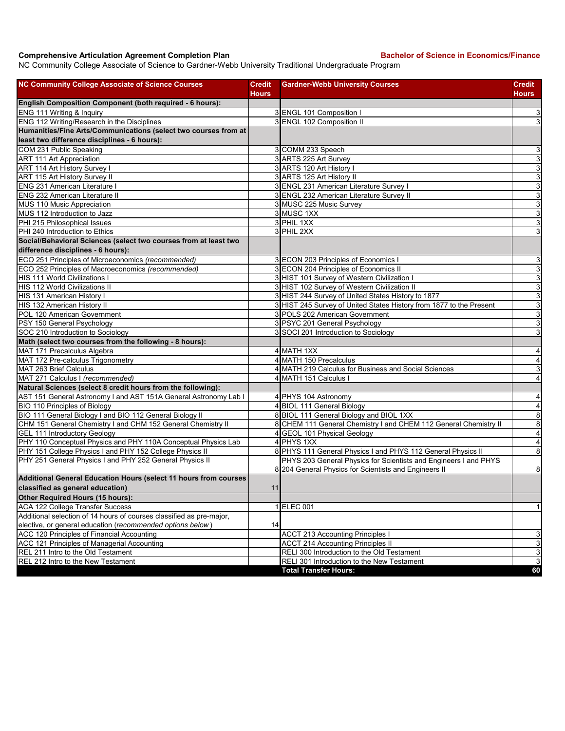## **Comprehensive Articulation Agreement Completion Plan Bachelor of Science in Economics/Finance**

NC Community College Associate of Science to Gardner-Webb University Traditional Undergraduate Program

| <b>NC Community College Associate of Science Courses</b>             | Credit | <b>Gardner-Webb University Courses</b>                                                                                    | Credit                    |
|----------------------------------------------------------------------|--------|---------------------------------------------------------------------------------------------------------------------------|---------------------------|
|                                                                      | Hours  |                                                                                                                           | Hours                     |
| English Composition Component (both required - 6 hours):             |        |                                                                                                                           |                           |
| ENG 111 Writing & Inquiry                                            |        | 3 ENGL 101 Composition I                                                                                                  | 3                         |
| ENG 112 Writing/Research in the Disciplines                          |        | 3 ENGL 102 Composition II                                                                                                 | $\overline{3}$            |
| Humanities/Fine Arts/Communications (select two courses from at      |        |                                                                                                                           |                           |
| least two difference disciplines - 6 hours):                         |        |                                                                                                                           |                           |
| COM 231 Public Speaking                                              |        | 3 COMM 233 Speech                                                                                                         | $\mathbf{3}$              |
| <b>ART 111 Art Appreciation</b>                                      |        | 3 ARTS 225 Art Survey                                                                                                     | $\overline{3}$            |
| ART 114 Art History Survey I                                         |        | 3 ARTS 120 Art History I                                                                                                  | 3                         |
| ART 115 Art History Survey II                                        |        | 3 ARTS 125 Art History II                                                                                                 | $\overline{3}$            |
| <b>ENG 231 American Literature I</b>                                 |        | 3 ENGL 231 American Literature Survey I                                                                                   | $\mathsf 3$               |
| <b>ENG 232 American Literature II</b>                                |        | 3 ENGL 232 American Literature Survey II                                                                                  | $\overline{3}$            |
| MUS 110 Music Appreciation                                           |        | 3 MUSC 225 Music Survey                                                                                                   | ω                         |
| MUS 112 Introduction to Jazz                                         |        | 3 MUSC 1XX                                                                                                                | ω                         |
| PHI 215 Philosophical Issues                                         |        | 3 PHIL 1XX                                                                                                                | $\overline{3}$            |
| PHI 240 Introduction to Ethics                                       |        | 3 PHIL 2XX                                                                                                                | $\ensuremath{\mathsf{3}}$ |
| Social/Behavioral Sciences (select two courses from at least two     |        |                                                                                                                           |                           |
| difference disciplines - 6 hours):                                   |        |                                                                                                                           |                           |
| ECO 251 Principles of Microeconomics (recommended)                   |        | 3 ECON 203 Principles of Economics I                                                                                      | 3                         |
| ECO 252 Principles of Macroeconomics (recommended)                   |        | 3 ECON 204 Principles of Economics II                                                                                     | $\overline{3}$            |
| HIS 111 World Civilizations I                                        |        | 3 HIST 101 Survey of Western Civilization I                                                                               | $\overline{3}$            |
| HIS 112 World Civilizations II                                       |        | 3 HIST 102 Survey of Western Civilization II                                                                              | 3                         |
| HIS 131 American History I                                           |        | 3 HIST 244 Survey of United States History to 1877                                                                        | ω                         |
| HIS 132 American History II                                          |        | 3 HIST 245 Survey of United States History from 1877 to the Present                                                       | 3                         |
| POL 120 American Government                                          |        | 3 POLS 202 American Government                                                                                            | $\overline{3}$            |
| PSY 150 General Psychology                                           |        | 3 PSYC 201 General Psychology                                                                                             | 3                         |
| SOC 210 Introduction to Sociology                                    |        | 3 SOCI 201 Introduction to Sociology                                                                                      | 3                         |
| Math (select two courses from the following - 8 hours):              |        |                                                                                                                           |                           |
| MAT 171 Precalculus Algebra                                          |        | 4 MATH 1XX                                                                                                                | 4                         |
| MAT 172 Pre-calculus Trigonometry                                    |        | 4 MATH 150 Precalculus                                                                                                    | $\overline{\mathbf{4}}$   |
| MAT 263 Brief Calculus                                               |        | 4 MATH 219 Calculus for Business and Social Sciences                                                                      | $\overline{3}$            |
| MAT 271 Calculus I (recommended)                                     |        | 4 MATH 151 Calculus I                                                                                                     | $\overline{\mathbf{4}}$   |
| Natural Sciences (select 8 credit hours from the following):         |        |                                                                                                                           |                           |
| AST 151 General Astronomy I and AST 151A General Astronomy Lab I     |        | 4 PHYS 104 Astronomy                                                                                                      | $\overline{\mathbf{4}}$   |
| BIO 110 Principles of Biology                                        |        | 4 BIOL 111 General Biology                                                                                                | $\overline{4}$            |
| BIO 111 General Biology I and BIO 112 General Biology II             |        | 8 BIOL 111 General Biology and BIOL 1XX                                                                                   | $\overline{8}$            |
| CHM 151 General Chemistry I and CHM 152 General Chemistry II         |        | 8 CHEM 111 General Chemistry I and CHEM 112 General Chemistry II                                                          | $\bf8$                    |
| <b>GEL 111 Introductory Geology</b>                                  |        | 4 GEOL 101 Physical Geology                                                                                               | $\overline{4}$            |
| PHY 110 Conceptual Physics and PHY 110A Conceptual Physics Lab       |        | 4 PHYS 1XX                                                                                                                | $\overline{4}$            |
| PHY 151 College Physics I and PHY 152 College Physics II             |        | 8 PHYS 111 General Physics I and PHYS 112 General Physics II                                                              | $\bf8$                    |
| PHY 251 General Physics I and PHY 252 General Physics II             |        | PHYS 203 General Physics for Scientists and Engineers I and PHYS<br>8 204 General Physics for Scientists and Engineers II | $\bf8$                    |
| Additional General Education Hours (select 11 hours from courses     |        |                                                                                                                           |                           |
| classified as general education)                                     | 11     |                                                                                                                           |                           |
| Other Required Hours (15 hours):                                     |        |                                                                                                                           |                           |
| <b>ACA 122 College Transfer Success</b>                              |        | 1 ELEC 001                                                                                                                | $\mathbf{1}$              |
| Additional selection of 14 hours of courses classified as pre-major, |        |                                                                                                                           |                           |
| elective, or general education (recommended options below)           | 14     |                                                                                                                           |                           |
| ACC 120 Principles of Financial Accounting                           |        | <b>ACCT 213 Accounting Principles I</b>                                                                                   | 3                         |
| ACC 121 Principles of Managerial Accounting                          |        | <b>ACCT 214 Accounting Principles II</b>                                                                                  | $\overline{3}$            |
| REL 211 Intro to the Old Testament                                   |        | RELI 300 Introduction to the Old Testament                                                                                | $\ensuremath{\mathsf{3}}$ |
| REL 212 Intro to the New Testament                                   |        | RELI 301 Introduction to the New Testament                                                                                | $\mathsf 3$               |
|                                                                      |        | <b>Total Transfer Hours:</b>                                                                                              | 60                        |